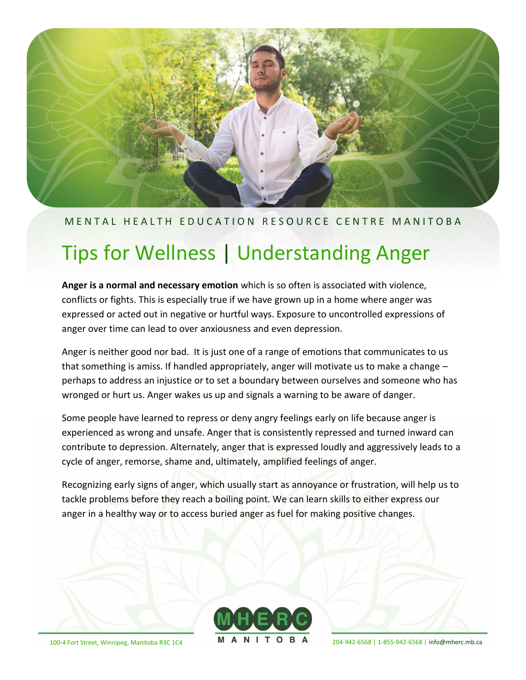

# MENTAL HEALTH EDUCATION RESOURCE CENTRE MANITOBA

# Tips for Wellness | Understanding Anger

**Anger is a normal and necessary emotion** which is so often is associated with violence, conflicts or fights. This is especially true if we have grown up in a home where anger was expressed or acted out in negative or hurtful ways. Exposure to uncontrolled expressions of anger over time can lead to over anxiousness and even depression.

Anger is neither good nor bad. It is just one of a range of emotions that communicates to us that something is amiss. If handled appropriately, anger will motivate us to make a change – perhaps to address an injustice or to set a boundary between ourselves and someone who has wronged or hurt us. Anger wakes us up and signals a warning to be aware of danger.

Some people have learned to repress or deny angry feelings early on life because anger is experienced as wrong and unsafe. Anger that is consistently repressed and turned inward can contribute to depression. Alternately, anger that is expressed loudly and aggressively leads to a cycle of anger, remorse, shame and, ultimately, amplified feelings of anger.

Recognizing early signs of anger, which usually start as annoyance or frustration, will help us to tackle problems before they reach a boiling point. We can learn skills to either express our anger in a healthy way or to access buried anger as fuel for making positive changes.



100-4 Fort Street, Winnipeg, Manitoba R3C 1C4 **M A N I T O B A**  $_{204-942-6568 \,|\, 1-855-942-6568 \,|\,$  [info@mherc.mb.ca](mailto:info@mherc.mb.ca)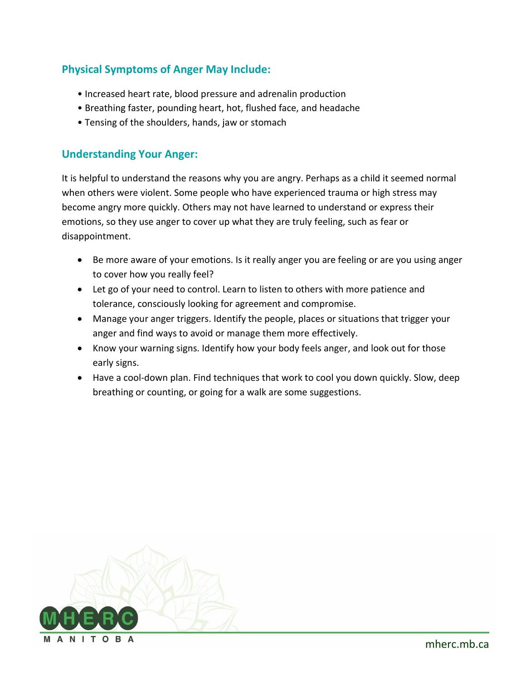# **Physical Symptoms of Anger May Include:**

- Increased heart rate, blood pressure and adrenalin production
- Breathing faster, pounding heart, hot, flushed face, and headache
- Tensing of the shoulders, hands, jaw or stomach

## **Understanding Your Anger:**

It is helpful to understand the reasons why you are angry. Perhaps as a child it seemed normal when others were violent. Some people who have experienced trauma or high stress may become angry more quickly. Others may not have learned to understand or express their emotions, so they use anger to cover up what they are truly feeling, such as fear or disappointment.

- Be more aware of your emotions. Is it really anger you are feeling or are you using anger to cover how you really feel?
- Let go of your need to control. Learn to listen to others with more patience and tolerance, consciously looking for agreement and compromise.
- Manage your anger triggers. Identify the people, places or situations that trigger your anger and find ways to avoid or manage them more effectively.
- Know your warning signs. Identify how your body feels anger, and look out for those early signs.
- Have a cool-down plan. Find techniques that work to cool you down quickly. Slow, deep breathing or counting, or going for a walk are some suggestions.

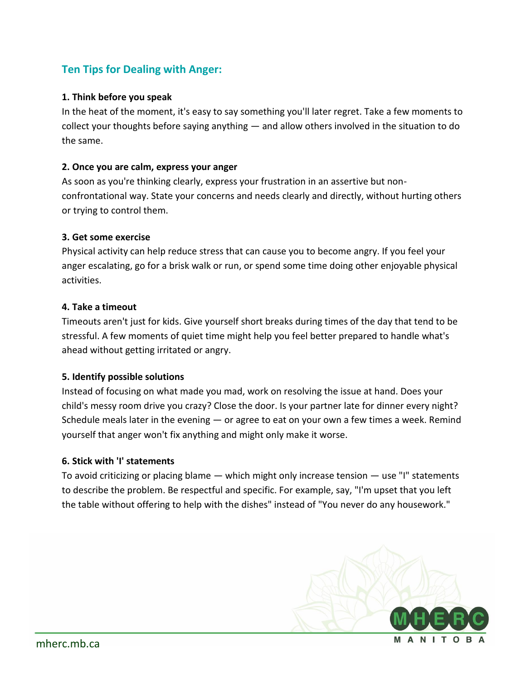# **Ten Tips for Dealing with Anger:**

### **1. Think before you speak**

In the heat of the moment, it's easy to say something you'll later regret. Take a few moments to collect your thoughts before saying anything — and allow others involved in the situation to do the same.

#### **2. Once you are calm, express your anger**

As soon as you're thinking clearly, express your frustration in an assertive but nonconfrontational way. State your concerns and needs clearly and directly, without hurting others or trying to control them.

#### **3. Get some exercise**

Physical activity can help reduce stress that can cause you to become angry. If you feel your anger escalating, go for a brisk walk or run, or spend some time doing other enjoyable physical activities.

#### **4. Take a timeout**

Timeouts aren't just for kids. Give yourself short breaks during times of the day that tend to be stressful. A few moments of quiet time might help you feel better prepared to handle what's ahead without getting irritated or angry.

#### **5. Identify possible solutions**

Instead of focusing on what made you mad, work on resolving the issue at hand. Does your child's messy room drive you crazy? Close the door. Is your partner late for dinner every night? Schedule meals later in the evening — or agree to eat on your own a few times a week. Remind yourself that anger won't fix anything and might only make it worse.

#### **6. Stick with 'I' statements**

To avoid criticizing or placing blame — which might only increase tension — use "I" statements to describe the problem. Be respectful and specific. For example, say, "I'm upset that you left the table without offering to help with the dishes" instead of "You never do any housework."

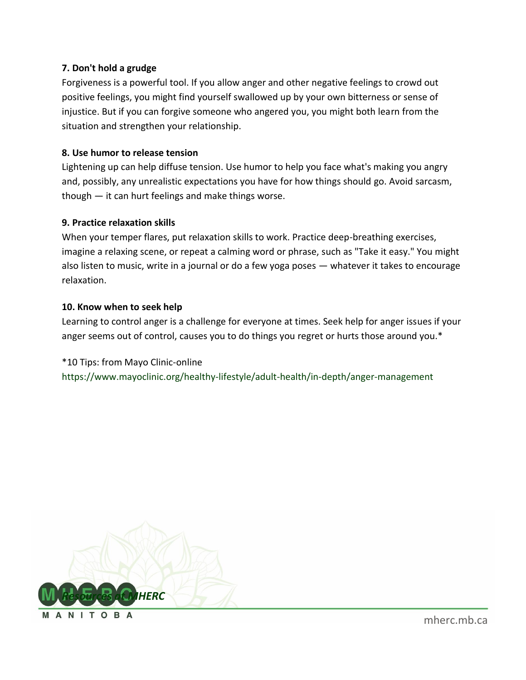#### **7. Don't hold a grudge**

Forgiveness is a powerful tool. If you allow anger and other negative feelings to crowd out positive feelings, you might find yourself swallowed up by your own bitterness or sense of injustice. But if you can forgive someone who angered you, you might both learn from the situation and strengthen your relationship.

#### **8. Use humor to release tension**

Lightening up can help diffuse tension. Use humor to help you face what's making you angry and, possibly, any unrealistic expectations you have for how things should go. Avoid sarcasm, though — it can hurt feelings and make things worse.

#### **9. Practice relaxation skills**

When your temper flares, put relaxation skills to work. Practice deep-breathing exercises, imagine a relaxing scene, or repeat a calming word or phrase, such as "Take it easy." You might also listen to music, write in a journal or do a few yoga poses — whatever it takes to encourage relaxation.

#### **10. Know when to seek help**

Learning to control anger is a challenge for everyone at times. Seek help for anger issues if your anger seems out of control, causes you to do things you regret or hurts those around you.\*

\*10 Tips: from Mayo Clinic-online <https://www.mayoclinic.org/healthy-lifestyle/adult-health/in-depth/anger-management>



ANITOBA

[mherc.mb.ca](https://www.mherc.mb.ca/)